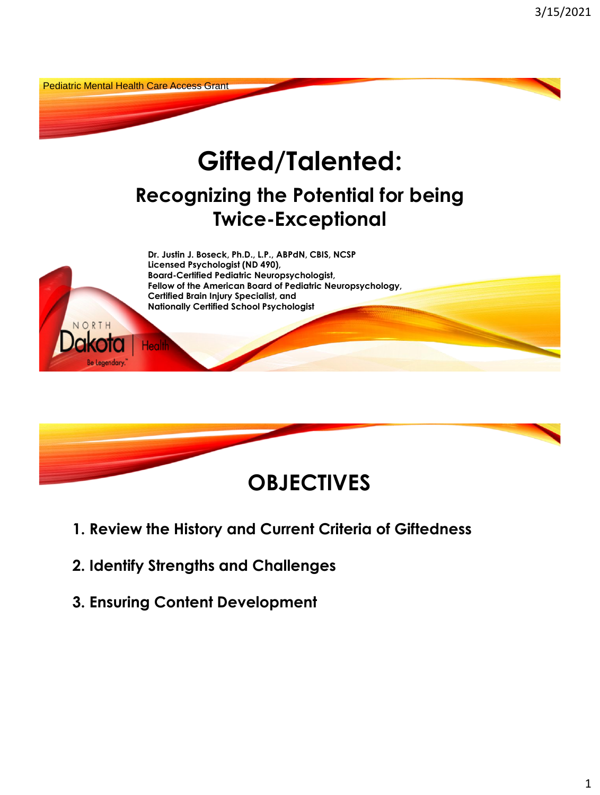



- **1. Review the History and Current Criteria of Giftedness**
- **2. Identify Strengths and Challenges**
- **3. Ensuring Content Development**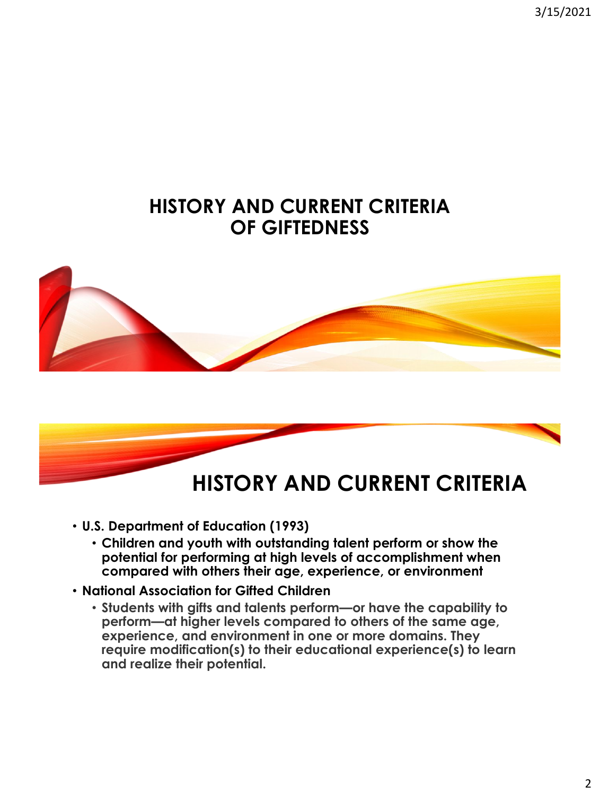3/15/2021

### **HISTORY AND CURRENT CRITERIA OF GIFTEDNESS**





- **U.S. Department of Education (1993)** 
	- **Children and youth with outstanding talent perform or show the potential for performing at high levels of accomplishment when compared with others their age, experience, or environment**
- **National Association for Gifted Children** 
	- **Students with gifts and talents perform—or have the capability to perform—at higher levels compared to others of the same age, experience, and environment in one or more domains. They require modification(s) to their educational experience(s) to learn and realize their potential.**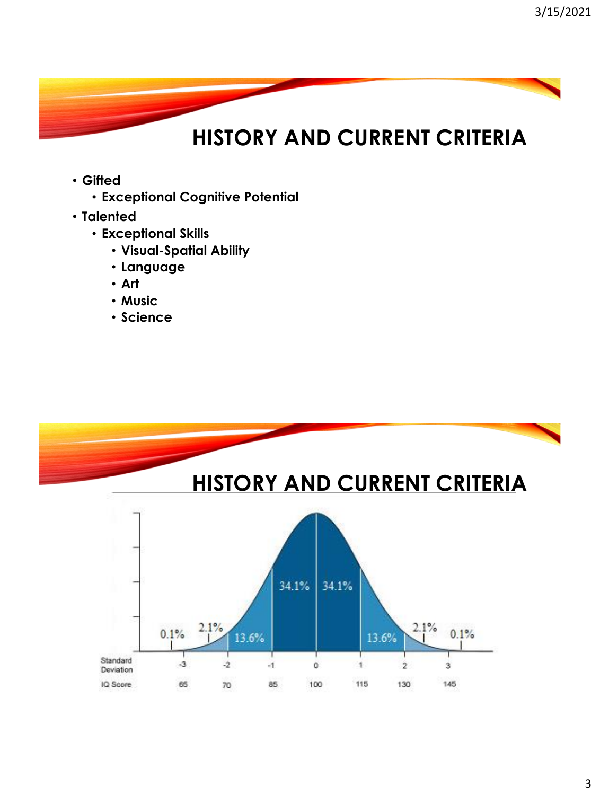- **Gifted** 
	- **Exceptional Cognitive Potential**
- **Talented** 
	- **Exceptional Skills** 
		- **Visual-Spatial Ability**
		- **Language**
		- **Art**
		- **Music**
		- **Science**

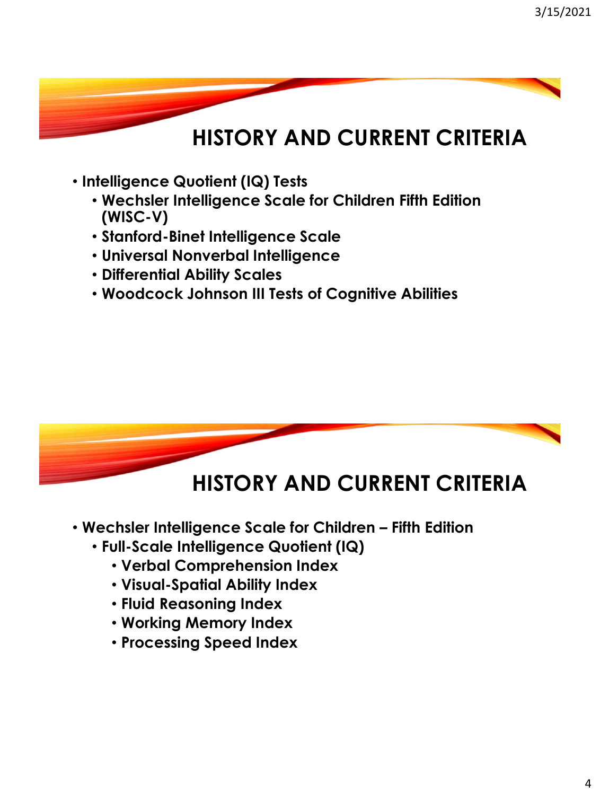- **Intelligence Quotient (IQ) Tests** 
	- **Wechsler Intelligence Scale for Children Fifth Edition (WISC-V)**
	- **Stanford-Binet Intelligence Scale**
	- **Universal Nonverbal Intelligence**
	- **Differential Ability Scales**
	- **Woodcock Johnson III Tests of Cognitive Abilities**



### **HISTORY AND CURRENT CRITERIA**

- **Wechsler Intelligence Scale for Children – Fifth Edition** 
	- **Full-Scale Intelligence Quotient (IQ)** 
		- **Verbal Comprehension Index**
		- **Visual-Spatial Ability Index**
		- **Fluid Reasoning Index**
		- **Working Memory Index**
		- **Processing Speed Index**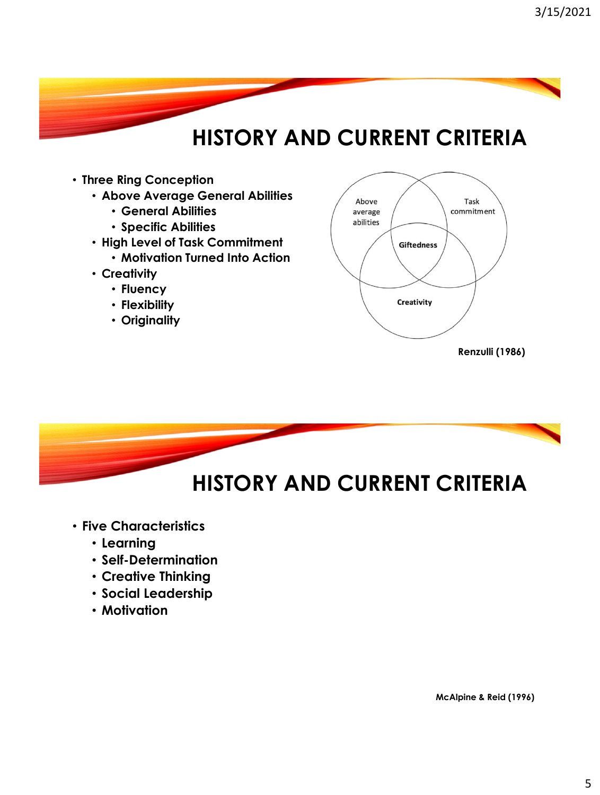- **Three Ring Conception** 
	- **Above Average General Abilities** 
		- **General Abilities**
		- **Specific Abilities**
	- **High Level of Task Commitment** 
		- **Motivation Turned Into Action**
	- **Creativity** 
		- **Fluency**
		- **Flexibility**
		- **Originality**





- **Five Characteristics** 
	- **Learning**
	- **Self-Determination**
	- **Creative Thinking**
	- **Social Leadership**
	- **Motivation**

 **McAlpine & Reid (1996)**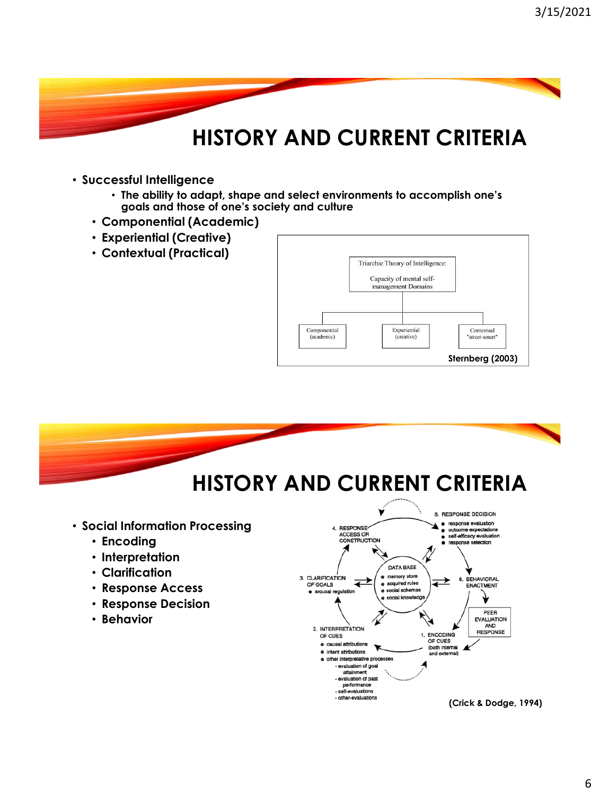- **Successful Intelligence** 
	- **goals and those of one's society and culture** • **The ability to adapt, shape and select environments to accomplish one's**
	- **Componential (Academic)**
	- **Experiential (Creative)**
	- **Contextual (Practical)**





 **(Crick & Dodge, 1994)**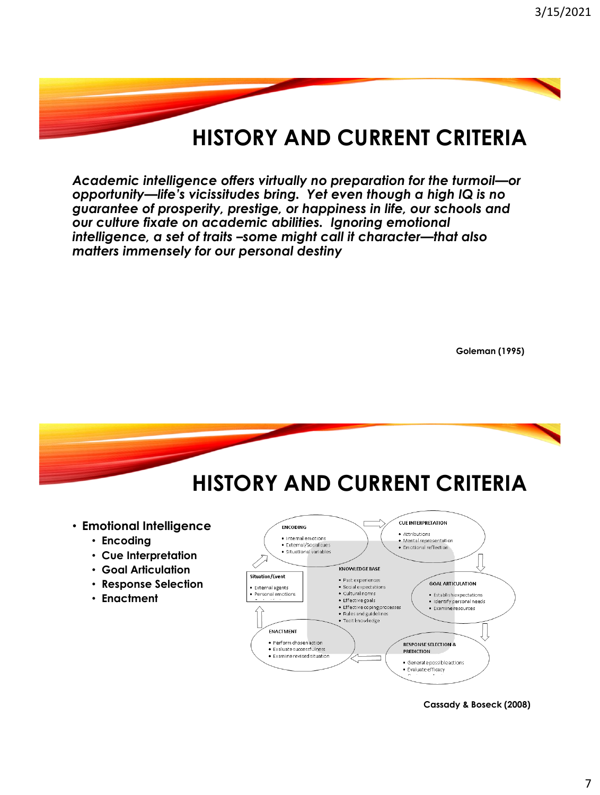*opportunity—life's vicissitudes bring. Yet even though a high IQ is no Academic intelligence offers virtually no preparation for the turmoil—or guarantee of prosperity, prestige, or happiness in life, our schools and our culture fixate on academic abilities. Ignoring emotional intelligence, a set of traits –some might call it character—that also matters immensely for our personal destiny* 

**Goleman (1995)** 



**Cassady & Boseck (2008)**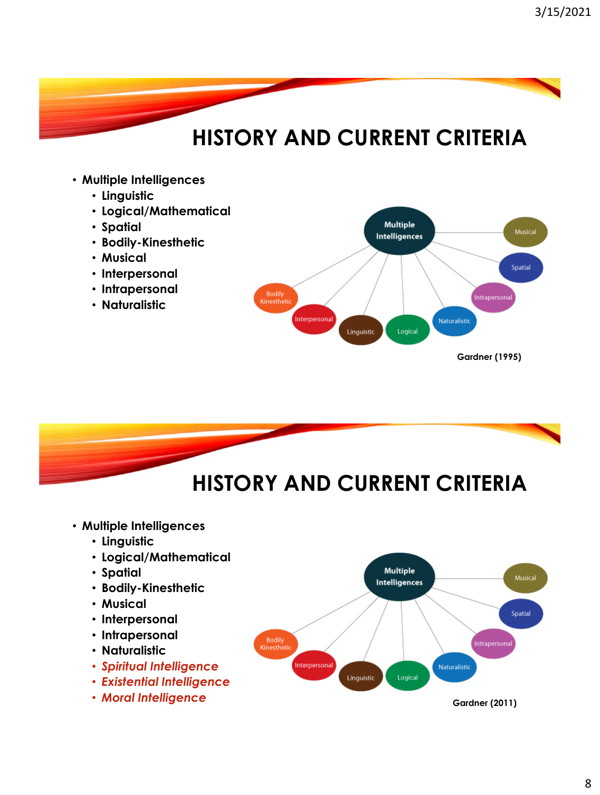#### • **Multiple Intelligences**

- **Linguistic**
- **Logical/Mathematical**
- **Spatial**
- **Bodily-Kinesthetic**
- **Musical**
- **Interpersonal**
- **Intrapersonal**
- **Naturalistic**





Interpersonal

- **Naturalistic**
- *Spiritual Intelligence*
- *Existential Intelligence*
- *Moral Intelligence* **Gardner (2011)**

Naturalistic

Logical

Linguistic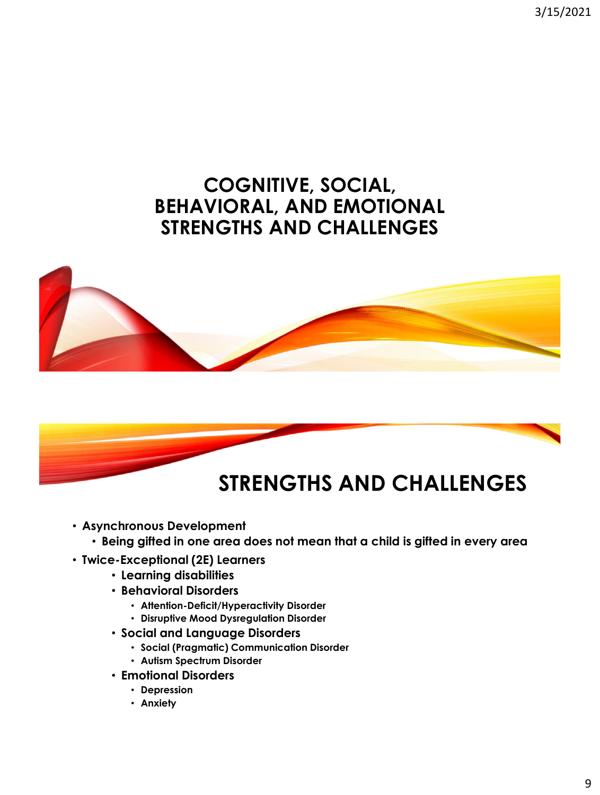3/15/2021

### **COGNITIVE, SOCIAL, BEHAVIORAL, AND EMOTIONAL STRENGTHS AND CHALLENGES**





- **Asynchronous Development** 
	- **Being gifted in one area does not mean that a child is gifted in every area**
- **Twice-Exceptional (2E) Learners** 
	- **Learning disabilities**
	- **Behavioral Disorders** 
		- **Attention-Deficit/Hyperactivity Disorder**
		- **Disruptive Mood Dysregulation Disorder**
	- **Social and Language Disorders** 
		- **Social (Pragmatic) Communication Disorder**
		- **Autism Spectrum Disorder**
	- **Emotional Disorders** 
		- **Depression**
		- **Anxiety**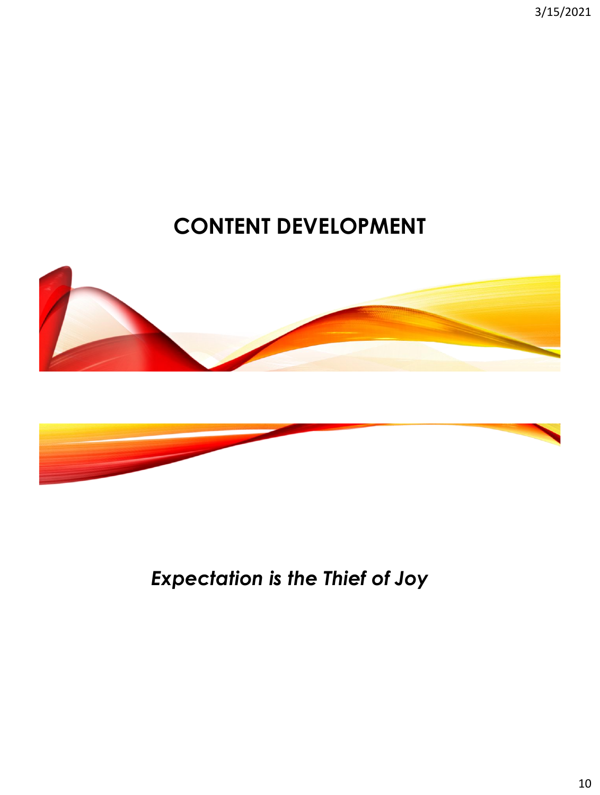3/15/2021

## **CONTENT DEVELOPMENT**





*Expectation is the Thief of Joy*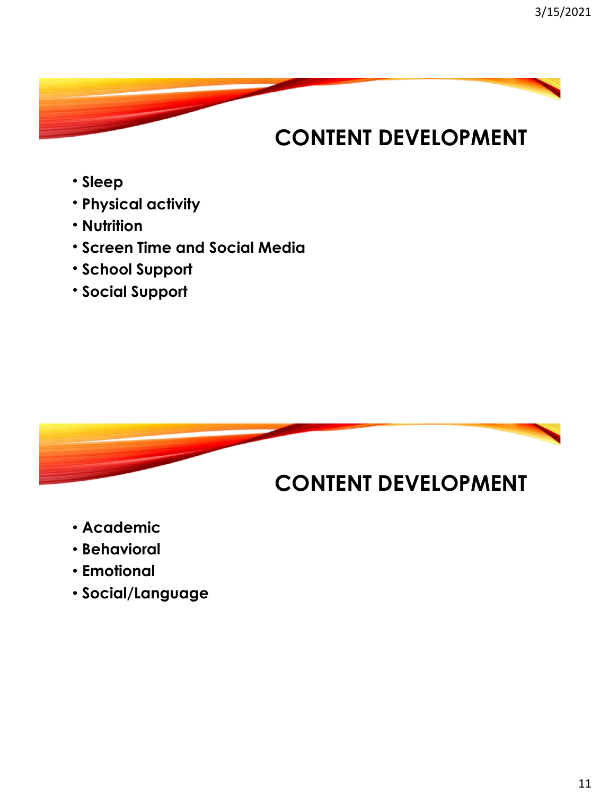## **CONTENT DEVELOPMENT**

- **Sleep**
- **Physical activity**
- **Nutrition**
- **Screen Time and Social Media**
- **School Support**
- **Social Support**



- **Academic**
- **Behavioral**
- **Emotional**
- **Social/Language**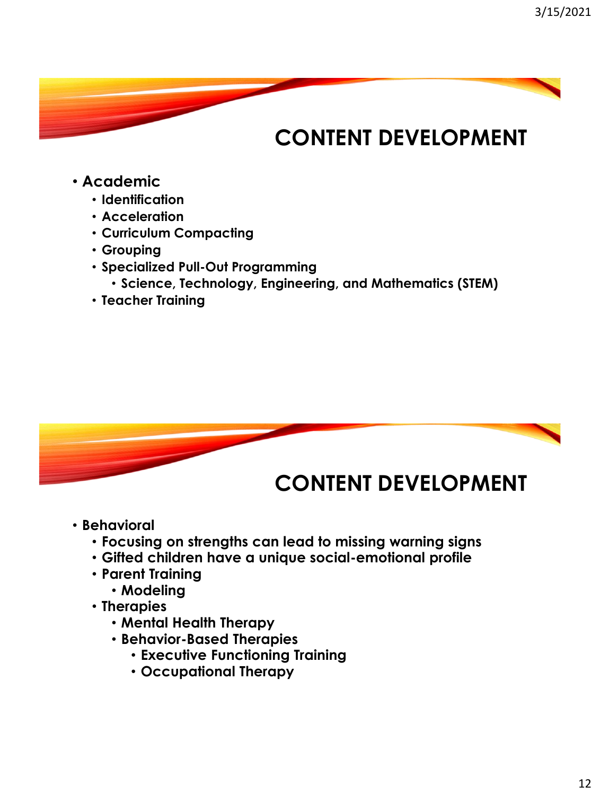## **CONTENT DEVELOPMENT**

- **Academic** 
	- **Identification**
	- **Acceleration**
	- **Curriculum Compacting**
	- **Grouping**
	- **Specialized Pull-Out Programming** 
		- **Science, Technology, Engineering, and Mathematics (STEM)**
	- **Teacher Training**



- **Behavioral** 
	- **Focusing on strengths can lead to missing warning signs**
	- **Gifted children have a unique social-emotional profile**
	- **Parent Training** 
		- **Modeling**
	- **Therapies** 
		- **Mental Health Therapy**
		- **Behavior-Based Therapies** 
			- **Executive Functioning Training**
			- **Occupational Therapy**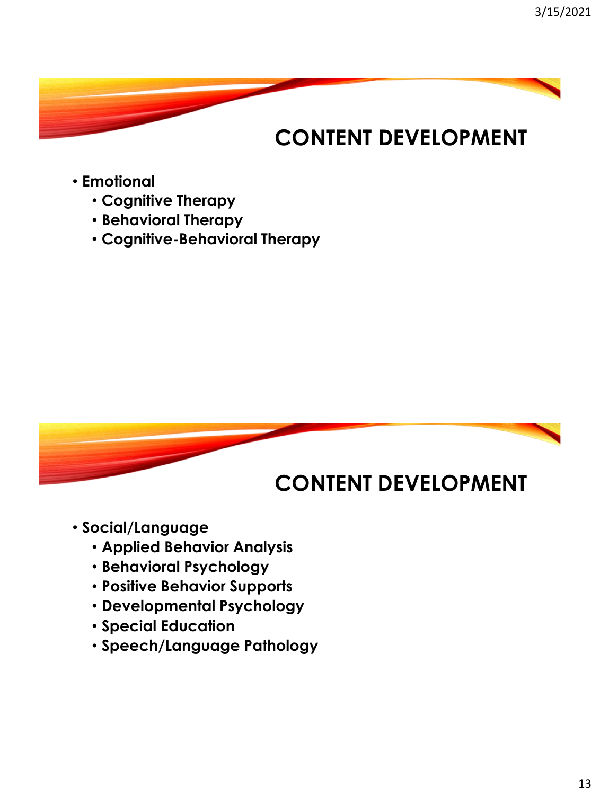## **CONTENT DEVELOPMENT**

- **Emotional** 
	- **Cognitive Therapy**
	- **Behavioral Therapy**
	- **Cognitive-Behavioral Therapy**



- **Social/Language** 
	- **Applied Behavior Analysis**
	- **Behavioral Psychology**
	- **Positive Behavior Supports**
	- **Developmental Psychology**
	- **Special Education**
	- **Speech/Language Pathology**